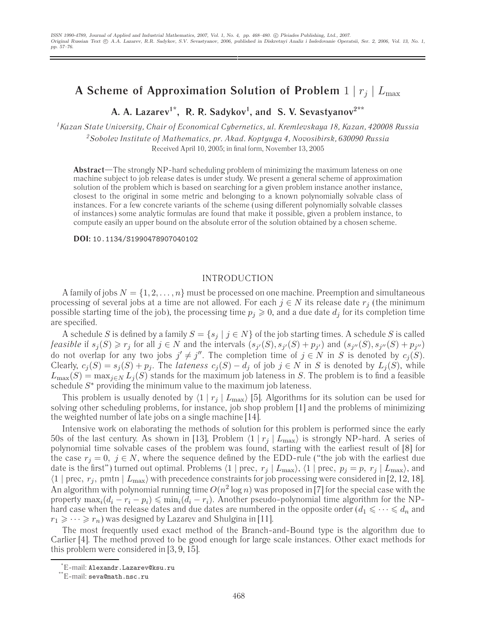# **A Scheme of Approximation Solution of Problem**  $1 | r_j | L_{\text{max}}$

**A. A. Lazarev1\*, R. R. Sadykov1, and S. V. Sevastyanov2\*\***

*1Kazan State University, Chair of Economical Cybernetics, ul. Kremlevskaya 18, Kazan, 420008 Russia 2Sobolev Institute of Mathematics, pr. Akad. Koptyuga 4, Novosibirsk, 630090 Russia* Received April 10, 2005; in final form, November 13, 2005

**Abstract**—The strongly NP-hard scheduling problem of minimizing the maximum lateness on one machine subject to job release dates is under study. We present a general scheme of approximation solution of the problem which is based on searching for a given problem instance another instance, closest to the original in some metric and belonging to a known polynomially solvable class of instances. For a few concrete variants of the scheme (using different polynomially solvable classes of instances) some analytic formulas are found that make it possible, given a problem instance, to compute easily an upper bound on the absolute error of the solution obtained by a chosen scheme.

**DOI:** 10.1134/S1990478907040102

#### INTRODUCTION

A family of jobs  $N = \{1, 2, \ldots, n\}$  must be processed on one machine. Preemption and simultaneous processing of several jobs at a time are not allowed. For each  $j \in N$  its release date  $r_j$  (the minimum possible starting time of the job), the processing time  $p_j\geqslant 0,$  and a due date  $d_j$  for its completion time are specified.

A schedule S is defined by a family  $S = \{s_j | j \in N\}$  of the job starting times. A schedule S is called *feasible* if  $s_j(S) \geq r_j$  for all  $j \in N$  and the intervals  $(s_{j'}(S), s_{j'}(S) + p_{j'})$  and  $(s_{j''}(S), s_{j''}(S) + p_{j''})$ do not overlap for any two jobs  $j' \neq j''$ . The completion time of  $j \in N$  in S is denoted by  $c_j(S)$ . Clearly,  $c_j(S) = s_j(S) + p_j$ . The *lateness*  $c_j(S) - d_j$  of job  $j \in N$  in S is denoted by  $L_j(S)$ , while  $L_{\text{max}}(S) = \max_{j \in N} L_j(S)$  stands for the maximum job lateness in S. The problem is to find a feasible schedule  $S<sup>*</sup>$  providing the minimum value to the maximum job lateness.

This problem is usually denoted by  $\langle 1 | r_j | L_{\text{max}} \rangle$  [5]. Algorithms for its solution can be used for solving other scheduling problems, for instance, job shop problem [1] and the problems of minimizing the weighted number of late jobs on a single machine [14].

Intensive work on elaborating the methods of solution for this problem is performed since the early 50s of the last century. As shown in [13], Problem  $\langle 1 | r_i | L_{\text{max}} \rangle$  is strongly NP-hard. A series of polynomial time solvable cases of the problem was found, starting with the earliest result of [8] for the case  $r_j = 0$ ,  $j \in N$ , where the sequence defined by the EDD-rule ("the job with the earliest due date is the first") turned out optimal. Problems  $\langle 1 |$  prec,  $r_j | L_{\text{max}}\rangle$ ,  $\langle 1 |$  prec,  $p_j = p$ ,  $r_j | L_{\text{max}}\rangle$ , and  $\langle 1 |$  prec,  $r_j$ , pmtn  $| L_{\text{max}} \rangle$  with precedence constraints for job processing were considered in [2, 12, 18]. An algorithm with polynomial running time  $O(n^2 \log n)$  was proposed in [7] for the special case with the property  $\max_i(d_i - r_i - p_i) \leq \min_i(d_i - r_i)$ . Another pseudo-polynomial time algorithm for the NPhard case when the release dates and due dates are numbered in the opposite order  $(d_1 \leq \cdots \leq d_n$  and  $r_1 \geqslant \cdots \geqslant r_n)$  was designed by Lazarev and Shulgina in [11].

The most frequently used exact method of the Branch-and-Bound type is the algorithm due to Carlier [4]. The method proved to be good enough for large scale instances. Other exact methods for this problem were considered in [3, 9, 15].

<sup>\*</sup> E-mail: Alexandr.Lazarev@ksu.ru

<sup>\*\*</sup>E-mail: seva@math.nsc.ru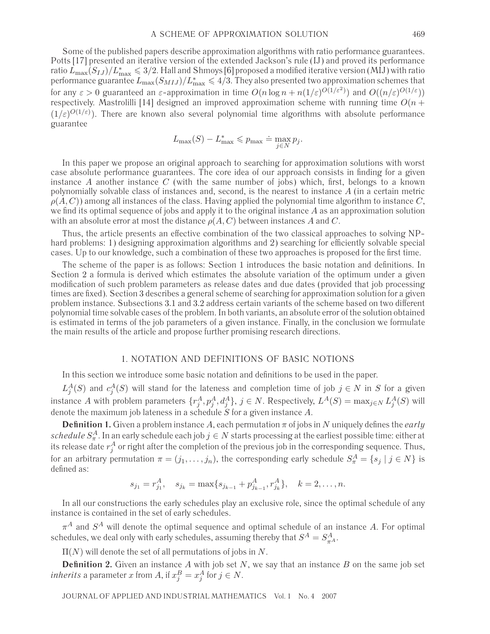Some of the published papers describe approximation algorithms with ratio performance guarantees. Potts [17] presented an iterative version of the extended Jackson's rule (IJ) and proved its performance ratio  $L_{\max}(S_{IJ})/L_{\max}^*\leqslant 3/2.$  Hall and Shmoys [6] proposed a modified iterative version (MIJ) with ratio performance guarantee  $L_{\max}(S_{MIJ})/L_{\max}^*\leqslant 4/3.$  They also presented two approximation schemes that for any  $\varepsilon > 0$  guaranteed an  $\varepsilon$ -approximation in time  $O(n\log n + n(1/\varepsilon)^{O(1/\varepsilon^2)})$  and  $O((n/\varepsilon)^{O(1/\varepsilon}))$ respectively. Mastrolilli [14] designed an improved approximation scheme with running time  $O(n +$  $(1/\varepsilon)^{O(1/\varepsilon)}$ ). There are known also several polynomial time algorithms with absolute performance guarantee

$$
L_{\max}(S) - L_{\max}^* \leq p_{\max} \doteq \max_{j \in N} p_j.
$$

In this paper we propose an original approach to searching for approximation solutions with worst case absolute performance guarantees. The core idea of our approach consists in finding for a given instance A another instance  $C$  (with the same number of jobs) which, first, belongs to a known polynomially solvable class of instances and, second, is the nearest to instance A (in a certain metric  $\rho(A,C)$ ) among all instances of the class. Having applied the polynomial time algorithm to instance C, we find its optimal sequence of jobs and apply it to the original instance A as an approximation solution with an absolute error at most the distance  $\rho(A, C)$  between instances A and C.

Thus, the article presents an effective combination of the two classical approaches to solving NPhard problems: 1) designing approximation algorithms and 2) searching for efficiently solvable special cases. Up to our knowledge, such a combination of these two approaches is proposed for the first time.

The scheme of the paper is as follows: Section 1 introduces the basic notation and definitions. In Section 2 a formula is derived which estimates the absolute variation of the optimum under a given modification of such problem parameters as release dates and due dates (provided that job processing times are fixed). Section 3 describes a general scheme of searching for approximation solution for a given problem instance. Subsections 3.1 and 3.2 address certain variants of the scheme based on two different polynomial time solvable cases of the problem. In both variants, an absolute error of the solution obtained is estimated in terms of the job parameters of a given instance. Finally, in the conclusion we formulate the main results of the article and propose further promising research directions.

## 1. NOTATION AND DEFINITIONS OF BASIC NOTIONS

In this section we introduce some basic notation and definitions to be used in the paper.

 $L_j^A(S)$  and  $c_j^A(S)$  will stand for the lateness and completion time of job  $j \in N$  in  $S$  for a given instance A with problem parameters  $\{r_j^A, p_j^A, d_j^A\}, j\in N.$  Respectively,  $L^A(S)=\max_{j\in N} L^A_j(S)$  will denote the maximum job lateness in a schedule  $S$  for a given instance  $A$ .

**Definition 1.** Given a problem instance A, each permutation  $\pi$  of jobs in N uniquely defines the *early*  $schedule\ S_{\pi}^A.$  In an early schedule each job  $j\in N$  starts processing at the earliest possible time: either at its release date  $r_j^A$  or right after the completion of the previous job in the corresponding sequence. Thus, for an arbitrary permutation  $\pi=(j_1,\ldots,j_n),$  the corresponding early schedule  $S^A_\pi=\{s_j\mid j\in N\}$  is defined as:

$$
s_{j_1} = r_{j_1}^A
$$
,  $s_{j_k} = \max\{s_{j_{k-1}} + p_{j_{k-1}}^A, r_{j_k}^A\}$ ,  $k = 2, ..., n$ .

In all our constructions the early schedules play an exclusive role, since the optimal schedule of any instance is contained in the set of early schedules.

 $\pi^A$  and  $S^A$  will denote the optimal sequence and optimal schedule of an instance A. For optimal schedules, we deal only with early schedules, assuming thereby that  $S^A=S^A_{\pi^A}.$ 

 $\Pi(N)$  will denote the set of all permutations of jobs in N.

**Definition 2.** Given an instance A with job set N, we say that an instance B on the same job set *inherits* a parameter x from A, if  $x_j^B = x_j^A$  for  $j \in N$ .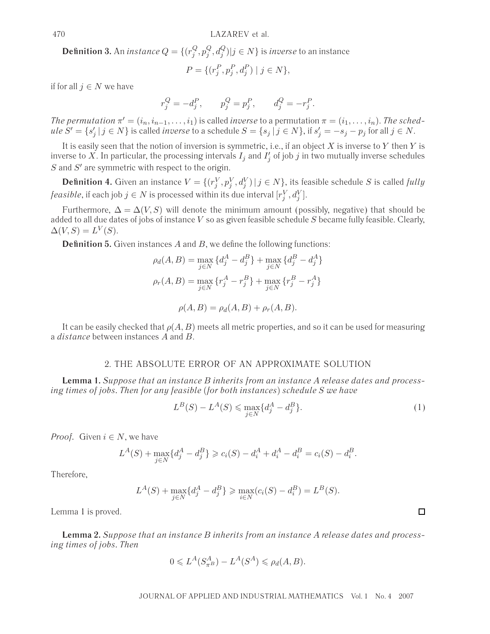470 LAZAREV et al.

**Definition 3.** An *instance Q* = { $(r_j^Q, p_j^Q, d_j^Q) | j \in N$ } is *inverse* to an instance  $P = \{ (r_j^P, p_j^P, d_j^P) \mid j \in N \},\$ 

if for all  $j \in N$  we have

$$
r_j^Q=-d_j^P,\qquad p_j^Q=p_j^P,\qquad d_j^Q=-r_j^P.
$$

*The permutation*  $\pi' = (i_n, i_{n-1}, \ldots, i_1)$  is called *inverse* to a permutation  $\pi = (i_1, \ldots, i_n)$ . *The sched* $ule S' = {s'_j | j \in N}$  is called *inverse* to a schedule  $S = {s_j | j \in N}$ , if  $s'_j = -s_j - p_j$  for all  $j \in N$ .

It is easily seen that the notion of inversion is symmetric, i.e., if an object  $X$  is inverse to  $Y$  then  $Y$  is inverse to  $X.$  In particular, the processing intervals  $I_j$  and  $I_j^\prime$  of job  $j$  in two mutually inverse schedules  $S$  and  $S'$  are symmetric with respect to the origin.

**Definition 4.** Given an instance  $V = \{(r_j^V, p_j^V, d_j^V) | j \in N\}$ , its feasible schedule S is called *fully feasible*, if each job  $j \in N$  is processed within its due interval  $[r_j^V, d_j^V].$ 

Furthermore,  $\Delta = \Delta(V, S)$  will denote the minimum amount (possibly, negative) that should be added to all due dates of jobs of instance  $V$  so as given feasible schedule  $S$  became fully feasible. Clearly,  $\Delta(V, S) = L^V(S).$ 

**Definition 5.** Given instances A and B, we define the following functions:

$$
\rho_d(A, B) = \max_{j \in N} \{d_j^A - d_j^B\} + \max_{j \in N} \{d_j^B - d_j^A\}
$$

$$
\rho_r(A, B) = \max_{j \in N} \{r_j^A - r_j^B\} + \max_{j \in N} \{r_j^B - r_j^A\}
$$

$$
\rho(A, B) = \rho_d(A, B) + \rho_r(A, B).
$$

It can be easily checked that  $\rho(A, B)$  meets all metric properties, and so it can be used for measuring a *distance* between instances A and B.

#### 2. THE ABSOLUTE ERROR OF AN APPROXIMATE SOLUTION

**Lemma 1.** *Suppose that an instance* B *inherits from an instance* A *release dates and processing times of jobs. Then for any feasible* (*for both instances*) *schedule* S *we have*

$$
L^{B}(S) - L^{A}(S) \le \max_{j \in N} \{d_j^{A} - d_j^{B}\}.
$$
 (1)

*Proof.* Given  $i \in N$ , we have

$$
L^{A}(S) + \max_{j \in N} \{d_j^{A} - d_j^{B}\} \geq c_i(S) - d_i^{A} + d_i^{A} - d_i^{B} = c_i(S) - d_i^{B}.
$$

Therefore,

$$
L^{A}(S) + \max_{j \in N} \{d_j^{A} - d_j^{B}\} \ge \max_{i \in N} (c_i(S) - d_i^{B}) = L^{B}(S).
$$

Lemma 1 is proved.

**Lemma 2.** *Suppose that an instance* B *inherits from an instance* A *release dates and processing times of jobs. Then*

$$
0 \leqslant L^A(S^A_{\pi^B}) - L^A(S^A) \leqslant \rho_d(A, B).
$$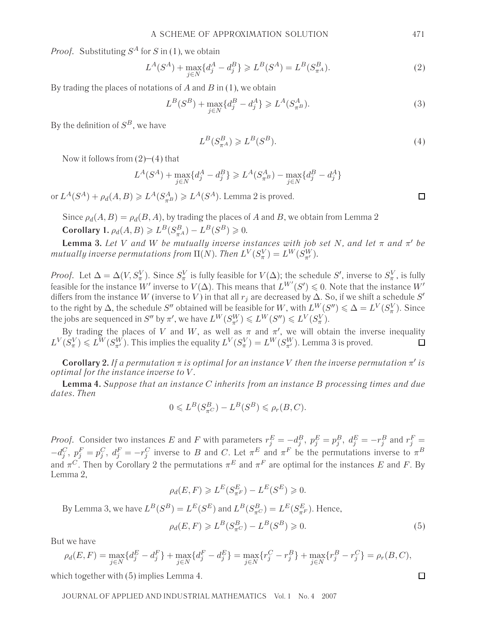*Proof.* Substituting  $S^A$  for S in (1), we obtain

$$
L^{A}(S^{A}) + \max_{j \in N} \{d_{j}^{A} - d_{j}^{B}\} \geqslant L^{B}(S^{A}) = L^{B}(S_{\pi^{A}}^{B}).
$$
\n(2)

By trading the places of notations of  $A$  and  $B$  in (1), we obtain

$$
L^{B}(S^{B}) + \max_{j \in N} \{d_{j}^{B} - d_{j}^{A}\} \geq L^{A}(S^{A}_{\pi^{B}}). \tag{3}
$$

By the definition of  $S^B$ , we have

$$
L^B(S^B_{\pi^A}) \geqslant L^B(S^B). \tag{4}
$$

Now it follows from  $(2)$ – $(4)$  that

$$
L^{A}(S^{A}) + \max_{j \in N} \{d_{j}^{A} - d_{j}^{B}\} \ge L^{A}(S_{\pi^{B}}^{A}) - \max_{j \in N} \{d_{j}^{B} - d_{j}^{A}\}
$$

or  $L^A(S^A) + \rho_d(A, B) \geqslant L^A(S^A_{\pi^B}) \geqslant L^A(S^A)$ . Lemma 2 is proved.

Since  $\rho_d(A, B) = \rho_d(B, A)$ , by trading the places of A and B, we obtain from Lemma 2 **Corollary 1.**  $\rho_d(A, B) \geqslant L^B(S^B_{\pi^A}) - L^B(S^B) \geqslant 0.$ 

**Lemma 3.** Let V and W be mutually inverse instances with job set N, and let  $\pi$  and  $\pi'$  be mutually inverse permutations from  $\Pi(N)$ . Then  $L^V(S^V_\pi)=L^W(S^W_{\pi'}).$ 

*Proof.* Let  $\Delta=\Delta(V,S^V_\pi).$  Since  $S^V_\pi$  is fully feasible for  $V(\Delta);$  the schedule  $S'$ , inverse to  $S^V_\pi,$  is fully feasible for the instance  $W'$  inverse to  $V(\Delta).$  This means that  $L^{W'}(S')\leqslant 0.$  Note that the instance  $W'$ differs from the instance  $W$  (inverse to  $V$ ) in that all  $r_j$  are decreased by  $\Delta$ . So, if we shift a schedule  $S'$ to the right by  $\Delta$ , the schedule  $S''$  obtained will be feasible for  $W$ , with  $L^W(S'')\leqslant \Delta=L^V(S^V_\pi).$  Since the jobs are sequenced in  $S''$  by  $\pi'$ , we have  $L^W(S^W_{\pi'}) \leqslant L^W(S'') \leqslant L^V(S^V_{\pi}).$ 

By trading the places of V and W, as well as  $\pi$  and  $\pi'$ , we will obtain the inverse inequality  $L^V(S^V_\pi)\leqslant L^W(S^W_{\pi'})$ . This implies the equality  $L^V(S^V_\pi)=L^W(S^W_{\pi'})$ . Lemma 3 is proved.

**Corollary 2.** *If a permutation*  $\pi$  *is optimal for an instance* V *then the inverse permutation*  $\pi'$  *is optimal for the instance inverse to* V *.*

**Lemma 4.** *Suppose that an instance* C *inherits from an instance* B *processing times and due dates. Then*

$$
0 \leqslant L^B(S^B_{\pi^C}) - L^B(S^B) \leqslant \rho_r(B, C).
$$

*Proof.* Consider two instances E and F with parameters  $r_j^E = -d_j^B$ ,  $p_j^E = p_j^B$ ,  $d_j^E = -r_j^B$  and  $r_j^F =$  $-d_j^C,~p_j^F=p_j^C,~d_j^F=-r_j^C$  inverse to  $B$  and  $C.$  Let  $\pi^E$  and  $\pi^F$  be the permutations inverse to  $\pi^B$ and  $\pi^C.$  Then by Corollary 2 the permutations  $\pi^E$  and  $\pi^F$  are optimal for the instances  $E$  and  $F.$  By Lemma 2,

$$
\rho_d(E, F) \geqslant L^E(S_{\pi^F}^E) - L^E(S^E) \geqslant 0.
$$

By Lemma 3, we have  $L^B(S^B) = L^E(S^E)$  and  $L^B(S^B_{\pi^C}) = L^E(S^E_{\pi^F})$ . Hence,

$$
\rho_d(E, F) \geqslant L^B(S^B_{\pi^C}) - L^B(S^B) \geqslant 0. \tag{5}
$$

But we have

$$
\rho_d(E, F) = \max_{j \in N} \{ d_j^E - d_j^F \} + \max_{j \in N} \{ d_j^F - d_j^E \} = \max_{j \in N} \{ r_j^C - r_j^B \} + \max_{j \in N} \{ r_j^B - r_j^C \} = \rho_r(B, C),
$$

which together with  $(5)$  implies Lemma 4.

JOURNAL OF APPLIED AND INDUSTRIAL MATHEMATICS Vol. 1 No. 4 2007

 $\Box$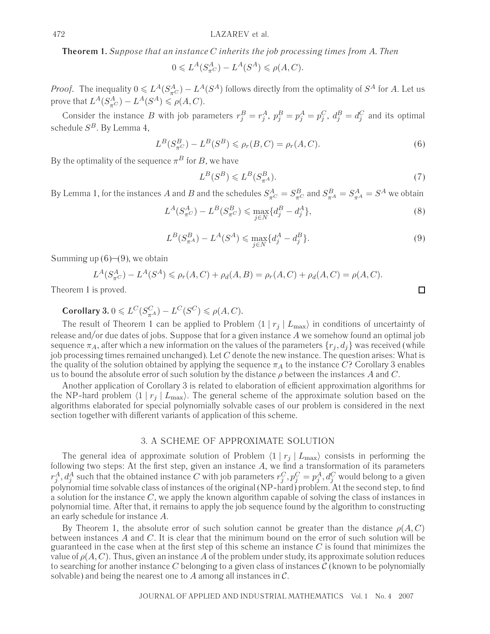**Theorem 1.** *Suppose that an instance* C *inherits the job processing times from* A*. Then*

$$
0 \leqslant L^A(S^A_{\pi^C}) - L^A(S^A) \leqslant \rho(A, C).
$$

*Proof.* The inequality  $0 \le L^A(S^A_{\pi^C}) - L^A(S^A)$  follows directly from the optimality of  $S^A$  for A. Let us prove that  $L^A(S^A_{\pi^C}) - L^A(S^A) \leq \rho(A, C)$ .

Consider the instance B with job parameters  $r_j^B = r_j^A$ ,  $p_j^B = p_j^A = p_j^C$ ,  $d_j^B = d_j^C$  and its optimal schedule  $S^B$ . By Lemma 4,

$$
L^{B}(S^{B}_{\pi^{C}}) - L^{B}(S^{B}) \le \rho_{r}(B, C) = \rho_{r}(A, C).
$$
\n(6)

By the optimality of the sequence  $\pi^B$  for B, we have

$$
L^B(S^B) \leqslant L^B(S^B_{\pi^A}).\tag{7}
$$

By Lemma 1, for the instances A and B and the schedules  $S_{\pi C}^A = S_{\pi C}^B$  and  $S_{\pi A}^B = S_{\pi A}^A = S^A$  we obtain

$$
L^{A}(S^{A}_{\pi C}) - L^{B}(S^{B}_{\pi C}) \leq \max_{j \in N} \{d^{B}_{j} - d^{A}_{j}\},\tag{8}
$$

$$
L^B(S_{\pi^A}^B) - L^A(S^A) \le \max_{j \in N} \{d_j^A - d_j^B\}.
$$
\n(9)

Summing up  $(6)$ – $(9)$ , we obtain

$$
L^{A}(S^{A}_{\pi^{C}}) - L^{A}(S^{A}) \leq \rho_{r}(A, C) + \rho_{d}(A, B) = \rho_{r}(A, C) + \rho_{d}(A, C) = \rho(A, C).
$$

Theorem 1 is proved.

Corollary 3. 
$$
0 \leq L^C(S_{\pi^A}^C) - L^C(S^C) \leq \rho(A, C).
$$

The result of Theorem 1 can be applied to Problem  $\langle 1 | r_j | L_{\text{max}} \rangle$  in conditions of uncertainty of release and/or due dates of jobs. Suppose that for a given instance  $A$  we somehow found an optimal job sequence  $\pi_A$ , after which a new information on the values of the parameters  $\{r_i, d_i\}$  was received (while job processing times remained unchanged). Let  $C$  denote the new instance. The question arises: What is the quality of the solution obtained by applying the sequence  $\pi_A$  to the instance C? Corollary 3 enables us to bound the absolute error of such solution by the distance  $\rho$  between the instances A and C.

Another application of Corollary 3 is related to elaboration of efficient approximation algorithms for the NP-hard problem  $\langle 1 | r_j | L_{\text{max}} \rangle$ . The general scheme of the approximate solution based on the algorithms elaborated for special polynomially solvable cases of our problem is considered in the next section together with different variants of application of this scheme.

## 3. A SCHEME OF APPROXIMATE SOLUTION

The general idea of approximate solution of Problem  $\langle 1 | r_j | L_{\text{max}} \rangle$  consists in performing the following two steps: At the first step, given an instance  $A$ , we find a transformation of its parameters  $r^A_j, d^A_j$  such that the obtained instance  $C$  with job parameters  $r^C_j, p^C_j = p^A_j, d^C_j$  would belong to a given polynomial time solvable class of instances of the original (NP-hard) problem. At the second step, to find a solution for the instance  $C$ , we apply the known algorithm capable of solving the class of instances in polynomial time. After that, it remains to apply the job sequence found by the algorithm to constructing an early schedule for instance A.

By Theorem 1, the absolute error of such solution cannot be greater than the distance  $\rho(A,C)$ between instances A and C. It is clear that the minimum bound on the error of such solution will be guaranteed in the case when at the first step of this scheme an instance  $C$  is found that minimizes the value of  $\rho(A, C)$ . Thus, given an instance A of the problem under study, its approximate solution reduces to searching for another instance C belonging to a given class of instances C (known to be polynomially solvable) and being the nearest one to  $A$  among all instances in  $C$ .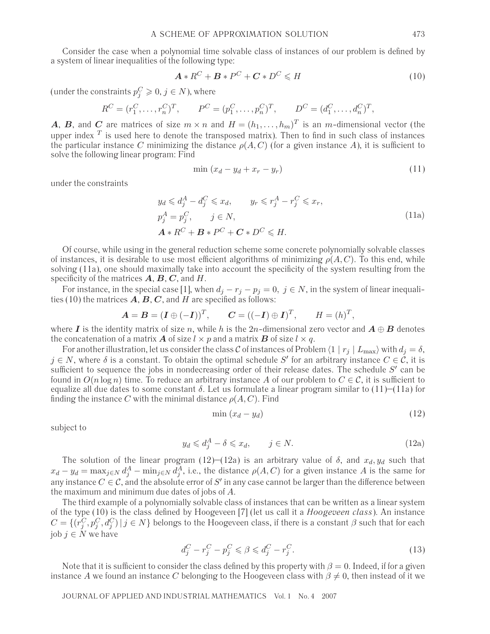Consider the case when a polynomial time solvable class of instances of our problem is defined by a system of linear inequalities of the following type:

$$
\mathbf{A} * R^C + \mathbf{B} * P^C + \mathbf{C} * D^C \le H \tag{10}
$$

(under the constraints  $p_j^C\geqslant 0,$   $j\in N$ ), where

$$
R^C = (r_1^C, \ldots, r_n^C)^T
$$
,  $P^C = (p_1^C, \ldots, p_n^C)^T$ ,  $D^C = (d_1^C, \ldots, d_n^C)^T$ ,

*A*, *B*, and *C* are matrices of size  $m \times n$  and  $H = (h_1, \ldots, h_m)^T$  is an *m*-dimensional vector (the upper index  $\overline{T}$  is used here to denote the transposed matrix). Then to find in such class of instances the particular instance C minimizing the distance  $\rho(A, C)$  (for a given instance A), it is sufficient to solve the following linear program: Find

$$
\min\left(x_d - y_d + x_r - y_r\right) \tag{11}
$$

under the constraints

$$
y_d \leq d_j^A - d_j^C \leq x_d, \qquad y_r \leq r_j^A - r_j^C \leq x_r,
$$
  
\n
$$
p_j^A = p_j^C, \qquad j \in N,
$$
  
\n
$$
A * R^C + B * P^C + C * D^C \leq H.
$$
\n(11a)

Of course, while using in the general reduction scheme some concrete polynomially solvable classes of instances, it is desirable to use most efficient algorithms of minimizing  $\rho(A, C)$ . To this end, while solving (11a), one should maximally take into account the specificity of the system resulting from the specificity of the matrices  $\mathbf{A}, \mathbf{B}, \mathbf{C}$ , and  $\mathbf{H}$ .

For instance, in the special case [1], when  $d_j - r_j - p_j = 0$ ,  $j \in N$ , in the system of linear inequalities (10) the matrices  $A$ ,  $B$ ,  $C$ , and  $H$  are specified as follows:

$$
\boldsymbol{A} = \boldsymbol{B} = (\boldsymbol{I} \oplus (-\boldsymbol{I}))^T, \qquad \boldsymbol{C} = ((-\boldsymbol{I}) \oplus \boldsymbol{I})^T, \qquad \boldsymbol{H} = (h)^T,
$$

where *I* is the identity matrix of size *n*, while h is the 2n-dimensional zero vector and  $A \oplus B$  denotes the concatenation of a matrix *A* of size  $l \times p$  and a matrix *B* of size  $l \times q$ .

For another illustration, let us consider the class C of instances of Problem  $\langle 1 | r_j | L_{\text{max}} \rangle$  with  $d_j = \delta$ ,  $j \in N$ , where  $\delta$  is a constant. To obtain the optimal schedule  $S'$  for an arbitrary instance  $C \in \mathcal{C}$ , it is sufficient to sequence the jobs in nondecreasing order of their release dates. The schedule  $S'$  can be found in  $O(n \log n)$  time. To reduce an arbitrary instance A of our problem to  $C \in \mathcal{C}$ , it is sufficient to equalize all due dates to some constant  $\delta$ . Let us formulate a linear program similar to  $(11)–(11a)$  for finding the instance C with the minimal distance  $\rho(A, C)$ . Find

$$
\min(x_d - y_d) \tag{12}
$$

subject to

$$
y_d \leq d_j^A - \delta \leq x_d, \qquad j \in N. \tag{12a}
$$

The solution of the linear program (12)–(12a) is an arbitrary value of  $\delta$ , and  $x_d, y_d$  such that  $x_d-y_d=\max_{j\in N}d_j^A-\min_{j\in N}d_j^A,$  i.e., the distance  $\rho(A,C)$  for a given instance  $A$  is the same for any instance  $C \in \mathcal{C}$ , and the absolute error of  $S'$  in any case cannot be larger than the difference between the maximum and minimum due dates of jobs of A.

The third example of a polynomially solvable class of instances that can be written as a linear system of the type (10) is the class defined by Hoogeveen [7] (let us call it a *Hoogeveen class*). An instance  $C=\{(r_j^C, p_j^C, d_j^C)\,|\,j\in N\}$  belongs to the Hoogeveen class, if there is a constant  $\beta$  such that for each job  $j \in N$  we have

$$
d_j^C - r_j^C - p_j^C \leq \beta \leq d_j^C - r_j^C. \tag{13}
$$

Note that it is sufficient to consider the class defined by this property with  $\beta = 0$ . Indeed, if for a given instance A we found an instance C belonging to the Hoogeveen class with  $\beta \neq 0$ , then instead of it we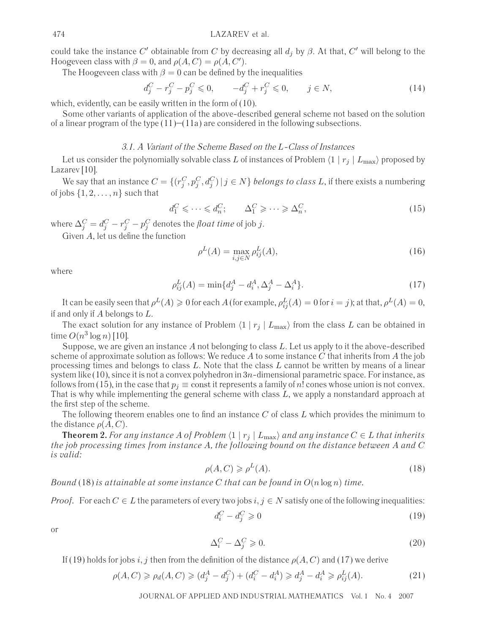could take the instance  $C'$  obtainable from  $C$  by decreasing all  $d_j$  by  $\beta$ . At that,  $C'$  will belong to the Hoogeveen class with  $\beta = 0$ , and  $\rho(A, C) = \rho(A, C').$ 

The Hoogeveen class with  $\beta = 0$  can be defined by the inequalities

$$
d_j^C - r_j^C - p_j^C \le 0, \qquad -d_j^C + r_j^C \le 0, \qquad j \in N,
$$
\n(14)

which, evidently, can be easily written in the form of (10).

Some other variants of application of the above-described general scheme not based on the solution of a linear program of the type  $(11)$ – $(11a)$  are considered in the following subsections.

#### 3.1. A Variant of the Scheme Based on the L-Class of Instances

Let us consider the polynomially solvable class L of instances of Problem  $\langle 1 | r_i | L_{\text{max}} \rangle$  proposed by Lazarev [10].

We say that an instance  $C = \{(r_j^C, p_j^C, d_j^C) \mid j \in N\}$  *belongs to class L*, if there exists a numbering of jobs  $\{1, 2, \ldots, n\}$  such that

$$
d_1^C \leqslant \dots \leqslant d_n^C; \qquad \Delta_1^C \geqslant \dots \geqslant \Delta_n^C,\tag{15}
$$

where  $\Delta_j^C = d_j^C - r_j^C - p_j^C$  denotes the *float time* of job *j*.

Given A, let us define the function

$$
\rho^L(A) = \max_{i,j \in N} \rho_{ij}^L(A),\tag{16}
$$

where

$$
\rho_{ij}^L(A) = \min\{d_j^A - d_i^A, \Delta_j^A - \Delta_i^A\}.
$$
\n(17)

It can be easily seen that  $\rho^L(A)\geqslant 0$  for each  $A$  (for example,  $\rho^L_{ij}(A)=0$  for  $i=j$  ); at that,  $\rho^L(A)=0,$ if and only if A belongs to L.

The exact solution for any instance of Problem  $\langle 1 | r_j | L_{\text{max}} \rangle$  from the class L can be obtained in time  $O(n^3 \log n)$  [10].

Suppose, we are given an instance A not belonging to class L. Let us apply to it the above-described scheme of approximate solution as follows: We reduce  $A$  to some instance  $C$  that inherits from  $A$  the job processing times and belongs to class  $L$ . Note that the class  $L$  cannot be written by means of a linear system like (10), since it is not a convex polyhedron in  $3n$ -dimensional parametric space. For instance, as follows from (15), in the case that  $p_i \equiv \text{const}$  it represents a family of n! cones whose union is not convex. That is why while implementing the general scheme with class L, we apply a nonstandard approach at the first step of the scheme.

The following theorem enables one to find an instance  $C$  of class  $L$  which provides the minimum to the distance  $\rho(A, C)$ .

**Theorem 2.** *For any instance* A *of Problem*  $\langle 1 | r_j | L_{\text{max}} \rangle$  *and any instance*  $C \in L$  *that inherits the job processing times from instance* A*, the following bound on the distance between* A *and* C *is valid:*

$$
\rho(A, C) \geqslant \rho^L(A). \tag{18}
$$

*Bound* (18) *is attainable at some instance* C *that can be found in* O(n log n) *time.*

*Proof.* For each  $C \in L$  the parameters of every two jobs  $i, j \in N$  satisfy one of the following inequalities:

$$
d_i^C - d_j^C \geqslant 0\tag{19}
$$

or

$$
\Delta_i^C - \Delta_j^C \geqslant 0. \tag{20}
$$

If (19) holds for jobs i, j then from the definition of the distance  $\rho(A, C)$  and (17) we derive

$$
\rho(A, C) \ge \rho_d(A, C) \ge (d_j^A - d_j^C) + (d_i^C - d_i^A) \ge d_j^A - d_i^A \ge \rho_{ij}^L(A). \tag{21}
$$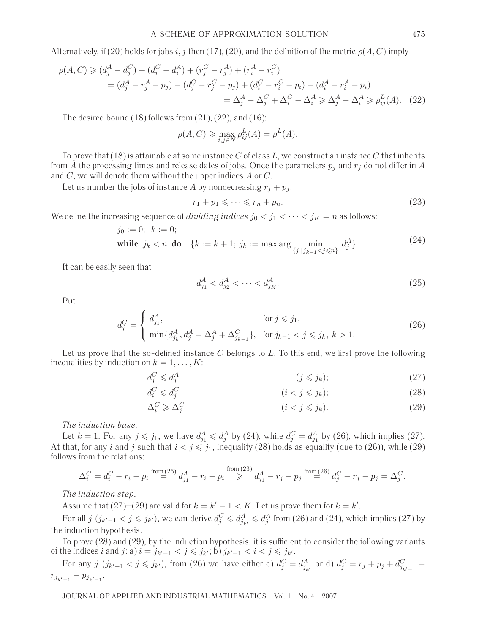Alternatively, if (20) holds for jobs i, j then (17), (20), and the definition of the metric  $\rho(A, C)$  imply

$$
\rho(A, C) \ge (d_j^A - d_j^C) + (d_i^C - d_i^A) + (r_j^C - r_j^A) + (r_i^A - r_i^C)
$$
  
=  $(d_j^A - r_j^A - p_j) - (d_j^C - r_j^C - p_j) + (d_i^C - r_i^C - p_i) - (d_i^A - r_i^A - p_i)$   
=  $\Delta_j^A - \Delta_j^C + \Delta_i^C - \Delta_i^A \ge \Delta_j^A - \Delta_i^A \ge \rho_{ij}^L(A)$ . (22)

The desired bound  $(18)$  follows from  $(21)$ ,  $(22)$ , and  $(16)$ :

$$
\rho(A, C) \geq \max_{i,j \in N} \rho_{ij}^L(A) = \rho^L(A).
$$

To prove that (18) is attainable at some instance  $C$  of class  $L$ , we construct an instance  $C$  that inherits from A the processing times and release dates of jobs. Once the parameters  $p_j$  and  $r_j$  do not differ in A and  $C$ , we will denote them without the upper indices  $A$  or  $C$ .

Let us number the jobs of instance A by nondecreasing  $r_i + p_j$ :

 $d_i^C \leqslant d_j^C$ 

$$
r_1 + p_1 \leqslant \dots \leqslant r_n + p_n. \tag{23}
$$

We define the increasing sequence of *dividing indices*  $j_0 < j_1 < \cdots < j_K = n$  as follows:

$$
j_0 := 0; \ k := 0; \n\text{while } j_k < n \ \text{do} \ \{k := k+1; \ j_k := \max \arg \min_{\{j \mid j_{k-1} < j \leq n\}} d_j^A \}. \tag{24}
$$

It can be easily seen that

$$
d_{j_1}^A < d_{j_2}^A < \dots < d_{j_K}^A. \tag{25}
$$

Put

$$
d_j^C = \begin{cases} d_{j_1}^A, & \text{for } j \le j_1, \\ \min\{d_{j_k}^A, d_j^A - \Delta_j^A + \Delta_{j_{k-1}}^C\}, & \text{for } j_{k-1} < j \le j_k, \ k > 1. \end{cases}
$$
(26)

Let us prove that the so-defined instance  $C$  belongs to  $L$ . To this end, we first prove the following inequalities by induction on  $k = 1, \ldots, K$ :

$$
d_j^C \leqslant d_j^A \tag{27}
$$

$$
C_j \t\t (i < j \leqslant j_k); \t\t (28)
$$

$$
\Delta_i^C \geqslant \Delta_j^C \qquad (i < j \leqslant j_k). \tag{29}
$$

*The induction base.*

Let  $k = 1$ . For any  $j \le j_1$ , we have  $d_{j_1}^A \le d_j^A$  by (24), while  $d_j^C = d_{j_1}^A$  by (26), which implies (27). At that, for any i and j such that  $i < j \leq j_1$ , inequality (28) holds as equality (due to (26)), while (29) follows from the relations:

$$
\Delta_i^C = d_i^C - r_i - p_i \stackrel{\text{from (26)}}{=} d_{j_1}^A - r_i - p_i \stackrel{\text{from (23)}}{\geq} d_{j_1}^A - r_j - p_j \stackrel{\text{from (26)}}{=} d_j^C - r_j - p_j = \Delta_j^C.
$$

*The induction step.*

Assume that  $(27)$ – $(29)$  are valid for  $k = k' - 1 < K$ . Let us prove them for  $k = k'$ .

For all  $j$   $(j_{k'-1} < j \leq j_{k'}),$  we can derive  $d_j^C \leq d_{j_{k'}}^A \leq d_j^A$  from (26) and (24), which implies (27) by the induction hypothesis.

To prove (28) and (29), by the induction hypothesis, it is sufficient to consider the following variants of the indices i and j: a)  $i = j_{k'-1} < j \leq j_{k'}$ ; b)  $j_{k'-1} < i < j \leq j_{k'}$ .

For any  $j$   $(j_{k'-1} < j \leq j_{k'})$ , from (26) we have either c)  $d_j^C = d_{j_{k'}}^A$  or d)  $d_j^C = r_j + p_j + d_{j_{k'-1}}^C - d_{j_{k'-1}}^A$  $r_{j_{k'-1}} - p_{j_{k'-1}}.$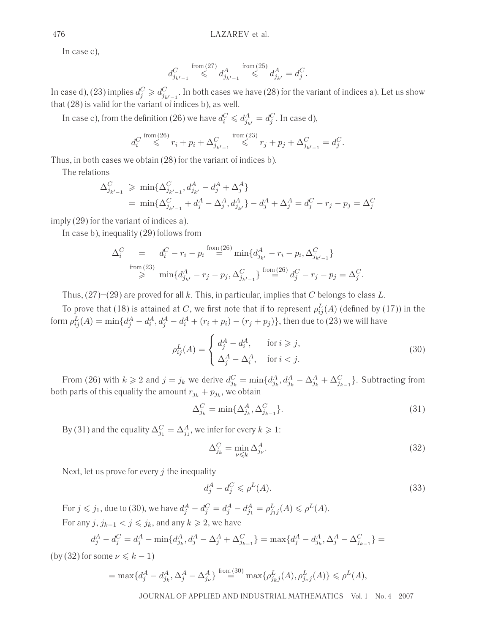In case c),

$$
d_{j_{k'-1}}^C\stackrel{\rm from\, (27)}{\leqslant} d_{j_{k'-1}}^A\stackrel{\rm from\, (25)}{\leqslant} d_{j_{k'}}^A=d_j^C.
$$

In case d), (23) implies  $d_j^C \geqslant d_{j_{k'-1}}^C$ . In both cases we have (28) for the variant of indices a). Let us show that (28) is valid for the variant of indices b), as well.

In case c), from the definition (26) we have  $d_i^C \leqslant d_{j_{k'}}^A = d_j^C.$  In case d),

$$
d_i^C \stackrel{\text{from (26)}}{\leqslant} r_i + p_i + \Delta_{j_{k'-1}}^C \stackrel{\text{from (23)}}{\leqslant} r_j + p_j + \Delta_{j_{k'-1}}^C = d_j^C.
$$

Thus, in both cases we obtain (28) for the variant of indices b).

The relations

$$
\Delta_{j_{k'-1}}^C \geq \min\{\Delta_{j_{k'-1}}^C, d_{j_{k'}}^A - d_j^A + \Delta_j^A\}
$$
  
= 
$$
\min\{\Delta_{j_{k'-1}}^C + d_j^A - \Delta_j^A, d_{j_{k'}}^A\} - d_j^A + \Delta_j^A = d_j^C - r_j - p_j = \Delta_j^C
$$

imply (29) for the variant of indices a).

In case b), inequality (29) follows from

$$
\Delta_i^C = d_i^C - r_i - p_i \stackrel{\text{from (26)}}{=} \min\{d_{j_{k'}}^A - r_i - p_i, \Delta_{j_{k'-1}}^C\}
$$
\n
$$
\geq \min\{d_{j_{k'}}^A - r_j - p_j, \Delta_{j_{k'-1}}^C\} \stackrel{\text{from (26)}}{=} d_j^C - r_j - p_j = \Delta_j^C.
$$

Thus,  $(27)$ – $(29)$  are proved for all k. This, in particular, implies that C belongs to class L.

To prove that (18) is attained at C, we first note that if to represent  $\rho_{ij}^L(A)$  (defined by (17)) in the form  $\rho^L_{ij}(A)=\min\{d^A_j-d^A_i,d^A_j-d^A_i+(r_i+p_i)-(r_j+p_j)\},$  then due to (23) we will have

$$
\rho_{ij}^L(A) = \begin{cases} d_j^A - d_i^A, & \text{for } i \geq j, \\ \Delta_j^A - \Delta_i^A, & \text{for } i < j. \end{cases}
$$
\n(30)

From (26) with  $k \geq 2$  and  $j = j_k$  we derive  $d_{j_k}^C = \min\{d_{j_k}^A, d_{j_k}^A - \Delta_{j_k}^A + \Delta_{j_{k-1}}^C\}$ . Subtracting from both parts of this equality the amount  $r_{j_k} + p_{j_k}$ , we obtain

$$
\Delta_{j_k}^C = \min\{\Delta_{j_k}^A, \Delta_{j_{k-1}}^C\}.\tag{31}
$$

By (31) and the equality  $\Delta_{j_1}^C = \Delta_{j_1}^A$ , we infer for every  $k \geqslant 1$ :

$$
\Delta_{j_k}^C = \min_{\nu \leq k} \Delta_{j_\nu}^A.
$$
\n(32)

Next, let us prove for every  $j$  the inequality

$$
d_j^A - d_j^C \leqslant \rho^L(A). \tag{33}
$$

For  $j \leq j_1$ , due to (30), we have  $d_j^A - d_j^C = d_j^A - d_{j_1}^A = \rho_{j_1j}^L(A) \leqslant \rho^L(A)$ . For any  $j, j_{k-1} < j \leq j_k$ , and any  $k \geq 2$ , we have

$$
d_j^A - d_j^C = d_j^A - \min\{d_{j_k}^A, d_j^A - \Delta_j^A + \Delta_{j_{k-1}}^C\} = \max\{d_j^A - d_{j_k}^A, \Delta_j^A - \Delta_{j_{k-1}}^C\} =
$$

(by (32) for some  $\nu \leq k - 1$ )

$$
= \max\{d_j^A - d_{j_k}^A, \Delta_j^A - \Delta_{j_\nu}^A\} \stackrel{\text{from (30)}}{=} \max\{\rho_{j_kj}^L(A), \rho_{j_\nu j}^L(A)\} \leq \rho^L(A),
$$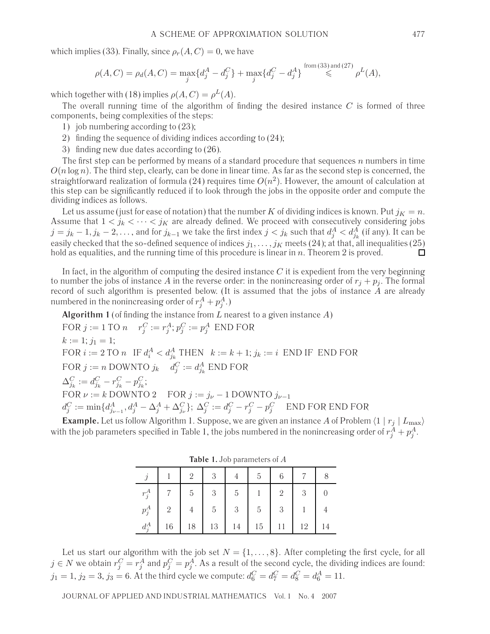which implies (33). Finally, since  $\rho_r(A,C)=0$ , we have

$$
\rho(A, C) = \rho_d(A, C) = \max_j \{d_j^A - d_j^C\} + \max_j \{d_j^C - d_j^A\} \stackrel{\text{from (33) and (27)}}{\leq} \rho^L(A),
$$

which together with (18) implies  $\rho(A, C) = \rho^{L}(A)$ .

The overall running time of the algorithm of finding the desired instance  $C$  is formed of three components, being complexities of the steps:

- 1) job numbering according to (23);
- 2) finding the sequence of dividing indices according to (24);
- 3) finding new due dates according to (26).

The first step can be performed by means of a standard procedure that sequences  $n$  numbers in time  $O(n \log n)$ . The third step, clearly, can be done in linear time. As far as the second step is concerned, the straightforward realization of formula (24) requires time  $O(n^2)$ . However, the amount of calculation at this step can be significantly reduced if to look through the jobs in the opposite order and compute the dividing indices as follows.

Let us assume (just for ease of notation) that the number K of dividing indices is known. Put  $j_K = n$ . Assume that  $1 < j_k < \cdots < j_K$  are already defined. We proceed with consecutively considering jobs  $j=j_k-1, j_k-2, \ldots,$  and for  $j_{k-1}$  we take the first index  $j < j_k$  such that  $d_j^A < d_{j_k}^A$  (if any). It can be easily checked that the so-defined sequence of indices  $j_1, \ldots, j_K$  meets (24); at that, all inequalities (25) hold as equalities, and the running time of this procedure is linear in n. Theorem 2 is proved. hold as equalities, and the running time of this procedure is linear in  $n$ . Theorem 2 is proved.

In fact, in the algorithm of computing the desired instance  $C$  it is expedient from the very beginning to number the jobs of instance A in the reverse order: in the nonincreasing order of  $r_i + p_j$ . The formal record of such algorithm is presented below. (It is assumed that the jobs of instance  $\ddot{A}$  are already numbered in the nonincreasing order of  $r^A_j + p^A_j$ .)

**Algorithm 1** (of finding the instance from  $L$  nearest to a given instance  $A$ ) FOR  $j := 1$  TO  $n \quad r_j^C := r_j^A$ ;  $p_j^C := p_j^A$  END FOR  $k := 1; j_1 = 1;$ FOR  $i := 2$  TO  $n$  IF  $d_i^A < d_{j_k}^A$  THEN  $k := k + 1$ ;  $j_k := i$  END IF END FOR FOR  $j := n$  DOWNTO  $j_k$   $d_j^C := d_{j_k}^A$  END FOR  $\Delta_{j_k}^{C} := d_{j_k}^{C} - r_{j_k}^{C} - p_{j_k}^{C};$ FOR  $\nu := k$  DOWNTO 2 FOR  $j := j_{\nu} - 1$  DOWNTO  $j_{\nu-1}$  $d_j^C:=\min\{d_{j_{\nu-1}}^A,d_j^A-\Delta_j^A+\Delta_{j_{\nu}}^C\};\ \Delta_j^C:=d_j^C-r_j^C-p_j^C\quad \text{END FOR END FOR}$ 

**Example.** Let us follow Algorithm 1. Suppose, we are given an instance A of Problem  $\langle 1 | r_j | L_{\text{max}} \rangle$ with the job parameters specified in Table 1, the jobs numbered in the nonincreasing order of  $r^A_j + p^A_j.$ 

|                |          | $2^{\circ}$    | 3 <sup>3</sup> |                | 5 <sup>5</sup> | 6              |                |  |
|----------------|----------|----------------|----------------|----------------|----------------|----------------|----------------|--|
| $r_j^A$        |          | $\overline{5}$ | 3              | $\overline{5}$ |                | 2              | $\mathfrak{Z}$ |  |
| $p_j^{\alpha}$ | $\sim 2$ | $4 -$          | 5 <sub>5</sub> | 3              | 5 <sup>5</sup> | 3 <sup>3</sup> |                |  |
| $d_i^A$        | 16       | $18-1$         | 13             | 14             | 15             | 11             | 12             |  |

**Table 1.** Job parameters of A

Let us start our algorithm with the job set  $N = \{1, \ldots, 8\}$ . After completing the first cycle, for all  $j\in N$  we obtain  $r^C_j=r^A_j$  and  $p^C_j=p^A_j.$  As a result of the second cycle, the dividing indices are found:  $j_1 = 1, j_2 = 3, j_3 = 6$ . At the third cycle we compute:  $d_6^C = d_7^C = d_8^C = d_6^A = 11$ .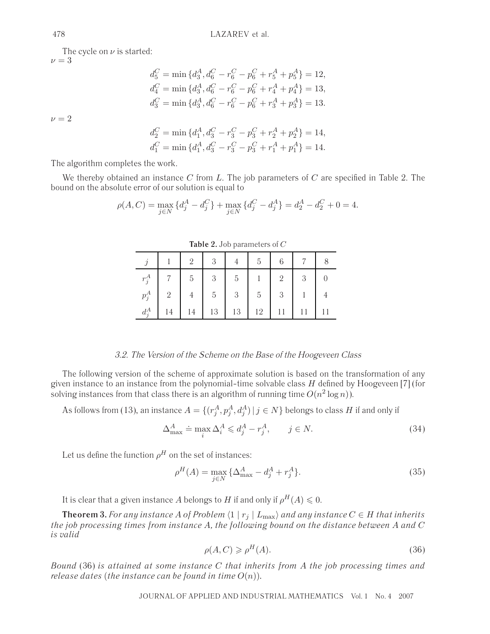The cycle on  $\nu$  is started:  $\nu = 3$ 

$$
d_5^C = \min \{ d_3^A, d_6^C - r_6^C - p_6^C + r_5^A + p_5^A \} = 12,
$$
  
\n
$$
d_4^C = \min \{ d_3^A, d_6^C - r_6^C - p_6^C + r_4^A + p_4^A \} = 13,
$$
  
\n
$$
d_3^C = \min \{ d_3^A, d_6^C - r_6^C - p_6^C + r_3^A + p_3^A \} = 13.
$$
  
\n
$$
d_2^C = \min \{ d_1^A, d_3^C - r_3^C - p_3^C + r_2^A + p_2^A \} = 14,
$$
  
\n
$$
d_1^C = \min \{ d_1^A, d_3^C - r_3^C - p_3^C + r_1^A + p_1^A \} = 14.
$$

The algorithm completes the work.

We thereby obtained an instance  $C$  from  $L$ . The job parameters of  $C$  are specified in Table 2. The bound on the absolute error of our solution is equal to

$$
\rho(A, C) = \max_{j \in N} \{d_j^A - d_j^C\} + \max_{j \in N} \{d_j^C - d_j^A\} = d_2^A - d_2^C + 0 = 4.
$$

|         |          | $2^{\circ}$ | 3 <sup>3</sup> |                | $5 \mid$ | 6 <sup>1</sup> |                |  |
|---------|----------|-------------|----------------|----------------|----------|----------------|----------------|--|
| $r_i^A$ |          | $5-5$       | 3 <sup>3</sup> | 5 <sup>5</sup> |          | 2              | 3 <sup>3</sup> |  |
| $p_j^A$ | $2 \mid$ | $4\quad$    | 5 <sup>1</sup> | 3 <sup>1</sup> | $5\Box$  | 3 <sup>3</sup> |                |  |
| $d_i^A$ | 14       |             | 14   13   13   |                | 12       |                |                |  |

**Table 2.** Job parameters of C

## 3.2. The Version of the Scheme on the Base of the Hoogeveen Class

The following version of the scheme of approximate solution is based on the transformation of any given instance to an instance from the polynomial-time solvable class  $H$  defined by Hoogeveen [7] (for solving instances from that class there is an algorithm of running time  $O(n^2 \log n)$ ).

As follows from (13), an instance  $A=\{(r^A_j,p^A_j,d^A_j)\,|\,j\in N\}$  belongs to class  $H$  if and only if

$$
\Delta_{\max}^A \doteq \max_i \Delta_i^A \leq d_j^A - r_j^A, \qquad j \in N. \tag{34}
$$

Let us define the function  $\rho^H$  on the set of instances:

$$
\rho^H(A) = \max_{j \in N} \{ \Delta^A_{\text{max}} - d_j^A + r_j^A \}. \tag{35}
$$

It is clear that a given instance A belongs to H if and only if  $\rho^H(A) \leq 0$ .

**Theorem 3.** *For any instance* A *of Problem*  $\langle 1 | r_i | L_{\text{max}} \rangle$  *and any instance*  $C \in H$  *that inherits the job processing times from instance* A*, the following bound on the distance between* A *and* C *is valid*

$$
\rho(A, C) \geqslant \rho^H(A). \tag{36}
$$

*Bound* (36) *is attained at some instance* C *that inherits from* A *the job processing times and release dates (the instance can be found in time*  $O(n)$ *).* 

 $\nu = 2$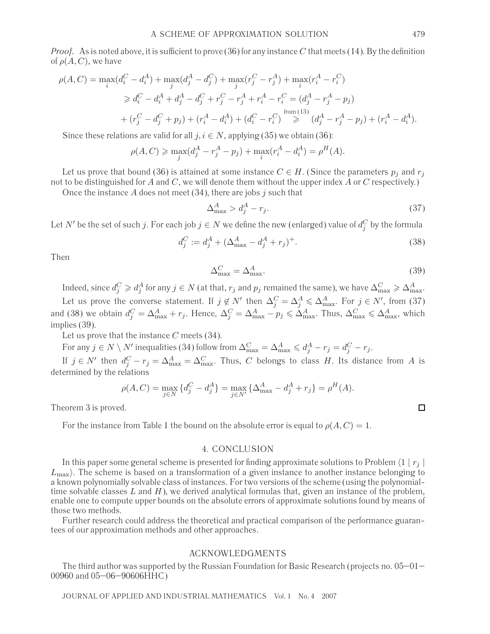*Proof.* As is noted above, it is sufficient to prove  $(36)$  for any instance C that meets (14). By the definition of  $\rho(A,C)$ , we have

$$
\rho(A, C) = \max_{i} (d_i^C - d_i^A) + \max_{j} (d_j^A - d_j^C) + \max_{j} (r_j^C - r_j^A) + \max_{i} (r_i^A - r_i^C)
$$
  
\n
$$
\geq d_i^C - d_i^A + d_j^A - d_j^C + r_j^C - r_j^A + r_i^A - r_i^C = (d_j^A - r_j^A - p_j)
$$
  
\n
$$
+ (r_j^C - d_j^C + p_j) + (r_i^A - d_i^A) + (d_i^C - r_i^C) \geq (d_j^A - r_j^A - p_j) + (r_i^A - d_i^A).
$$

Since these relations are valid for all  $j, i \in N$ , applying (35) we obtain (36):

$$
\rho(A, C) \ge \max_j (d_j^A - r_j^A - p_j) + \max_i (r_i^A - d_i^A) = \rho^H(A).
$$

Let us prove that bound (36) is attained at some instance  $C \in H$ . (Since the parameters  $p_i$  and  $r_j$ not to be distinguished for A and C, we will denote them without the upper index A or C respectively.)

Once the instance A does not meet  $(34)$ , there are jobs j such that

$$
\Delta_{\text{max}}^A > d_j^A - r_j. \tag{37}
$$

Let  $N'$  be the set of such  $j.$  For each job  $j\in N$  we define the new (enlarged) value of  $d_j^C$  by the formula

$$
d_j^C := d_j^A + (\Delta_{\text{max}}^A - d_j^A + r_j)^+.
$$
\n(38)

Then

$$
\Delta_{\text{max}}^C = \Delta_{\text{max}}^A. \tag{39}
$$

Indeed, since  $d_j^C\geqslant d_j^A$  for any  $j\in N$  (at that,  $r_j$  and  $p_j$  remained the same), we have  $\Delta_{\max}^C\geqslant\Delta_{\max}^A$ .

Let us prove the converse statement. If  $j \notin N'$  then  $\Delta_j^C = \Delta_j^A \leqslant \Delta_{\max}^A$ . For  $j \in N'$ , from (37) and (38) we obtain  $d_j^C = \Delta_{\max}^A + r_j$ . Hence,  $\Delta_j^C = \Delta_{\max}^A - p_j \leqslant \Delta_{\max}^A$ . Thus,  $\Delta_{\max}^C \leqslant \Delta_{\max}^A$ , which implies (39).

Let us prove that the instance  $C$  meets (34).

For any  $j \in N \setminus N'$  inequalities (34) follow from  $\Delta_{\max}^C = \Delta_{\max}^A \leqslant d_j^A - r_j = d_j^C - r_j.$ 

If  $j \in N'$  then  $d_j^C - r_j = \Delta_{\max}^A = \Delta_{\max}^C$ . Thus, C belongs to class H. Its distance from A is determined by the relations

$$
\rho(A, C) = \max_{j \in N} \{d_j^C - d_j^A\} = \max_{j \in N'} \{\Delta_{\text{max}}^A - d_j^A + r_j\} = \rho^H(A).
$$

Theorem 3 is proved.

For the instance from Table 1 the bound on the absolute error is equal to  $\rho(A,C)=1$ .

## 4. CONCLUSION

In this paper some general scheme is presented for finding approximate solutions to Problem  $\langle 1 | r_j |$  $L_{\text{max}}$ ). The scheme is based on a transformation of a given instance to another instance belonging to a known polynomially solvable class of instances. For two versions of the scheme (using the polynomialtime solvable classes  $L$  and  $H$ ), we derived analytical formulas that, given an instance of the problem, enable one to compute upper bounds on the absolute errors of approximate solutions found by means of those two methods.

Further research could address the theoretical and practical comparison of the performance guarantees of our approximation methods and other approaches.

#### ACKNOWLEDGMENTS

The third author was supported by the Russian Foundation for Basic Research (projects no. 05–01– 00960 and 05–06–90606HHC)

JOURNAL OF APPLIED AND INDUSTRIAL MATHEMATICS Vol. 1 No. 4 2007